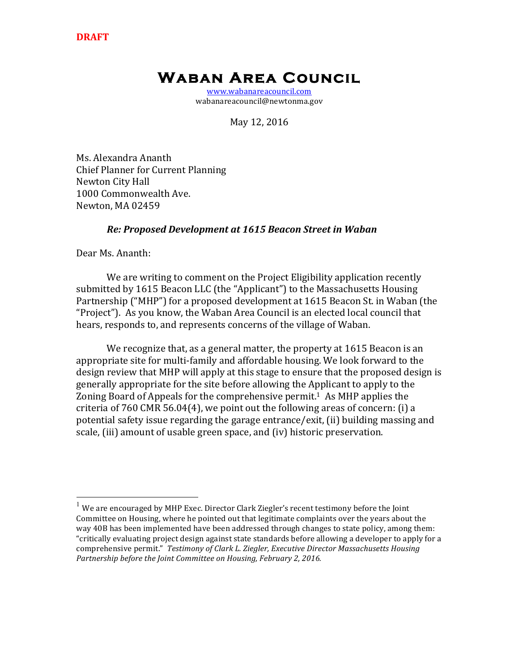# **Waban Area Council**

www.wabanareacouncil.com wabanareacouncil@newtonma.gov

May 12, 2016

Ms. Alexandra Ananth Chief Planner for Current Planning **Newton City Hall** 1000 Commonwealth Ave. Newton, MA 02459

## *Re: Proposed Development at 1615 Beacon Street in Waban*

Dear Ms. Ananth:

We are writing to comment on the Project Eligibility application recently submitted by 1615 Beacon LLC (the "Applicant") to the Massachusetts Housing Partnership ("MHP") for a proposed development at 1615 Beacon St. in Waban (the "Project"). As you know, the Waban Area Council is an elected local council that hears, responds to, and represents concerns of the village of Waban.

We recognize that, as a general matter, the property at 1615 Beacon is an appropriate site for multi-family and affordable housing. We look forward to the design review that MHP will apply at this stage to ensure that the proposed design is generally appropriate for the site before allowing the Applicant to apply to the Zoning Board of Appeals for the comprehensive permit.<sup>1</sup> As MHP applies the criteria of 760 CMR 56.04(4), we point out the following areas of concern: (i) a potential safety issue regarding the garage entrance/exit, (ii) building massing and scale, (iii) amount of usable green space, and (iv) historic preservation.

 $1$  We are encouraged by MHP Exec. Director Clark Ziegler's recent testimony before the Joint Committee on Housing, where he pointed out that legitimate complaints over the years about the way 40B has been implemented have been addressed through changes to state policy, among them: "critically evaluating project design against state standards before allowing a developer to apply for a comprehensive permit." Testimony of Clark L. Ziegler, Executive Director Massachusetts Housing Partnership before the Joint Committee on Housing, February 2, 2016.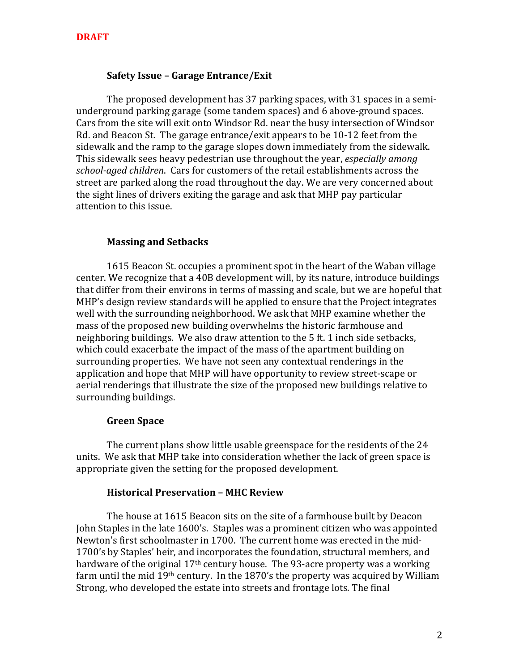## **Safety Issue - Garage Entrance/Exit**

The proposed development has 37 parking spaces, with 31 spaces in a semiunderground parking garage (some tandem spaces) and 6 above-ground spaces. Cars from the site will exit onto Windsor Rd. near the busy intersection of Windsor Rd. and Beacon St. The garage entrance/exit appears to be 10-12 feet from the sidewalk and the ramp to the garage slopes down immediately from the sidewalk. This sidewalk sees heavy pedestrian use throughout the year, *especially among school-aged children.* Cars for customers of the retail establishments across the street are parked along the road throughout the day. We are very concerned about the sight lines of drivers exiting the garage and ask that MHP pay particular attention to this issue.

#### **Massing and Setbacks**

1615 Beacon St. occupies a prominent spot in the heart of the Waban village center. We recognize that a 40B development will, by its nature, introduce buildings that differ from their environs in terms of massing and scale, but we are hopeful that MHP's design review standards will be applied to ensure that the Project integrates well with the surrounding neighborhood. We ask that MHP examine whether the mass of the proposed new building overwhelms the historic farmhouse and neighboring buildings. We also draw attention to the 5 ft. 1 inch side setbacks, which could exacerbate the impact of the mass of the apartment building on surrounding properties. We have not seen any contextual renderings in the application and hope that MHP will have opportunity to review street-scape or aerial renderings that illustrate the size of the proposed new buildings relative to surrounding buildings.

#### **Green Space**

The current plans show little usable greenspace for the residents of the 24 units. We ask that MHP take into consideration whether the lack of green space is appropriate given the setting for the proposed development.

### **Historical Preservation – MHC Review**

The house at 1615 Beacon sits on the site of a farmhouse built by Deacon John Staples in the late 1600's. Staples was a prominent citizen who was appointed Newton's first schoolmaster in 1700. The current home was erected in the mid-1700's by Staples' heir, and incorporates the foundation, structural members, and hardware of the original  $17<sup>th</sup>$  century house. The 93-acre property was a working farm until the mid  $19<sup>th</sup>$  century. In the  $1870$ 's the property was acquired by William Strong, who developed the estate into streets and frontage lots. The final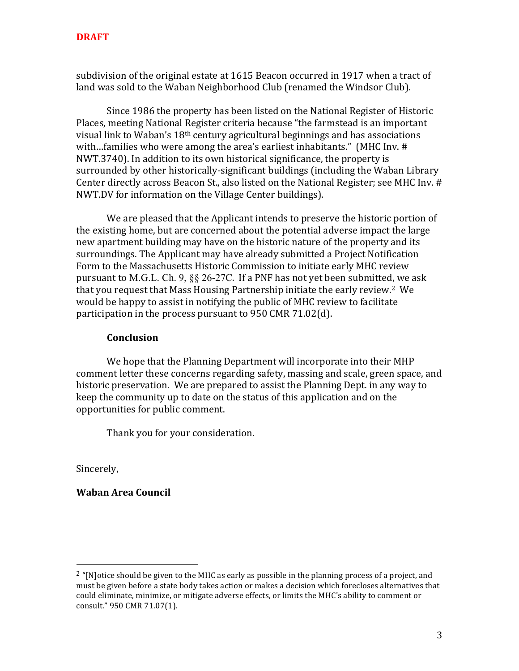subdivision of the original estate at  $1615$  Beacon occurred in 1917 when a tract of land was sold to the Waban Neighborhood Club (renamed the Windsor Club).

Since 1986 the property has been listed on the National Register of Historic Places, meeting National Register criteria because "the farmstead is an important visual link to Waban's  $18<sup>th</sup>$  century agricultural beginnings and has associations with...families who were among the area's earliest inhabitants." (MHC Inv.  $#$ ) NWT.3740). In addition to its own historical significance, the property is surrounded by other historically-significant buildings (including the Waban Library Center directly across Beacon St., also listed on the National Register; see MHC Iny. # NWT.DV for information on the Village Center buildings).

We are pleased that the Applicant intends to preserve the historic portion of the existing home, but are concerned about the potential adverse impact the large new apartment building may have on the historic nature of the property and its surroundings. The Applicant may have already submitted a Project Notification Form to the Massachusetts Historic Commission to initiate early MHC review pursuant to M.G.L. Ch. 9,  $\S$ § 26-27C. If a PNF has not yet been submitted, we ask that you request that Mass Housing Partnership initiate the early review.<sup>2</sup> We would be happy to assist in notifying the public of MHC review to facilitate participation in the process pursuant to  $950$  CMR  $71.02$ (d).

## **Conclusion**

We hope that the Planning Department will incorporate into their MHP comment letter these concerns regarding safety, massing and scale, green space, and historic preservation. We are prepared to assist the Planning Dept. in any way to keep the community up to date on the status of this application and on the opportunities for public comment.

Thank you for your consideration.

Sincerely,

**Waban Area Council**

 

<sup>&</sup>lt;sup>2</sup> "[N]otice should be given to the MHC as early as possible in the planning process of a project, and must be given before a state body takes action or makes a decision which forecloses alternatives that could eliminate, minimize, or mitigate adverse effects, or limits the MHC's ability to comment or consult." 950 CMR 71.07(1).